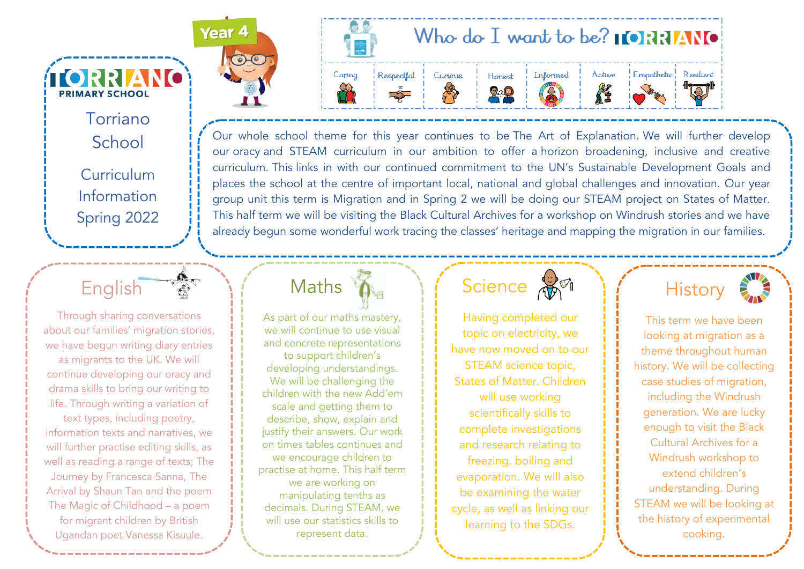Torriano School Curriculum Information Spring 2022

**TORRIANO** 

**PRIMARY SCHOOL** 

Through sharing conversations about our families' migration stories, we have begun writing diary entries as migrants to the UK. We will continue developing our oracy and drama skills to bring our writing to life. Through writing a variation of

English

text types, including poetry, information texts and narratives, we will further practise editing skills, as well as reading a range of texts; The Journey by Francesca Sanna, The Arrival by Shaun Tan and the poem The Magic of Childhood – a poem for migrant children by British Ugandan poet Vanessa Kisuule.





Our whole school theme for this year continues to be The Art of Explanation. We will further develop our oracy and STEAM curriculum in our ambition to offer a horizon broadening, inclusive and creative curriculum. This links in with our continued commitment to the UN's Sustainable Development Goals and places the school at the centre of important local, national and global challenges and innovation. Our year group unit this term is Migration and in Spring 2 we will be doing our STEAM project on States of Matter. This half term we will be visiting the Black Cultural Archives for a workshop on Windrush stories and we have already begun some wonderful work tracing the classes' heritage and mapping the migration in our families.

### **Maths**

As part of our maths mastery, we will continue to use visual and concrete representations to support children's developing understandings. We will be challenging the children with the new Add'em scale and getting them to describe, show, explain and justify their answers. Our work on times tables continues and we encourage children to practise at home. This half term we are working on manipulating tenths as decimals. During STEAM, we will use our statistics skills to represent data.

#### Science and

Having completed our topic on electricity, we have now moved on to our STEAM science topic, States of Matter. Children will use working scientifically skills to complete investigations and research relating to freezing, boiling and evaporation. We will also be examining the water cycle, as well as linking our learning to the SDGs.



This term we have been looking at migration as a theme throughout human history. We will be collecting case studies of migration, including the Windrush generation. We are lucky enough to visit the Black Cultural Archives for a Windrush workshop to extend children's understanding. During STEAM we will be looking at the history of experimental cooking.